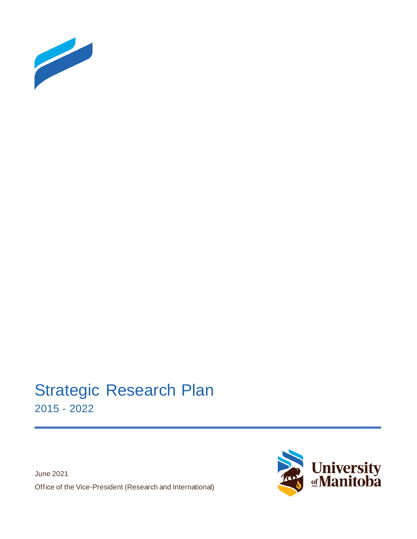

# Strategic Research Plan 2015 - 2022

June 2021 Office of the Vice-President (Research and International)

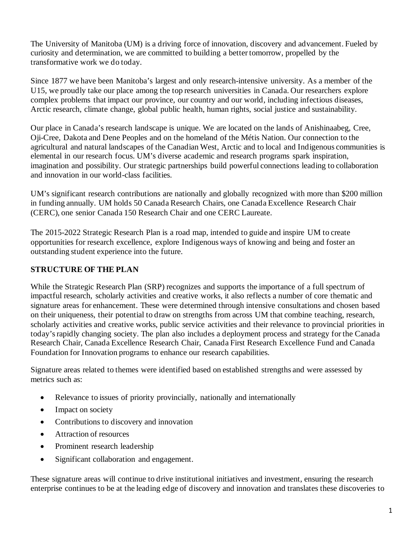The University of Manitoba (UM) is a driving force of innovation, discovery and advancement. Fueled by curiosity and determination, we are committed to building a better tomorrow, propelled by the transformative work we do today.

Since 1877 we have been Manitoba's largest and only research-intensive university. As a member of the U15, we proudly take our place among the top research universities in Canada. Our researchers explore complex problems that impact our province, our country and our world, including infectious diseases, Arctic research, climate change, global public health, human rights, social justice and sustainability.

Our place in Canada's research landscape is unique. We are located on the lands of Anishinaabeg, Cree, Oji-Cree, Dakota and Dene Peoples and on the homeland of the Métis Nation. Our connection to the agricultural and natural landscapes of the Canadian West, Arctic and to local and Indigenous communities is elemental in our research focus. UM's diverse academic and research programs spark inspiration, imagination and possibility. Our strategic partnerships build powerful connections leading to collaboration and innovation in our world-class facilities.

UM's significant research contributions are nationally and globally recognized with more than \$200 million in funding annually. UM holds 50 Canada Research Chairs, one Canada Excellence Research Chair (CERC), one senior Canada 150 Research Chair and one CERC Laureate.

The 2015-2022 Strategic Research Plan is a road map, intended to guide and inspire UM to create opportunities for research excellence, explore Indigenous ways of knowing and being and foster an outstanding student experience into the future.

# **STRUCTURE OF THE PLAN**

While the Strategic Research Plan (SRP) recognizes and supports the importance of a full spectrum of impactful research, scholarly activities and creative works, it also reflects a number of core thematic and signature areas for enhancement. These were determined through intensive consultations and chosen based on their uniqueness, their potential to draw on strengths from across UM that combine teaching, research, scholarly activities and creative works, public service activities and their relevance to provincial priorities in today's rapidly changing society. The plan also includes a deployment process and strategy for the Canada Research Chair, Canada Excellence Research Chair, Canada First Research Excellence Fund and Canada Foundation for Innovation programs to enhance our research capabilities.

Signature areas related to themes were identified based on established strengths and were assessed by metrics such as:

- Relevance to issues of priority provincially, nationally and internationally
- Impact on society
- Contributions to discovery and innovation
- Attraction of resources
- Prominent research leadership
- Significant collaboration and engagement.

These signature areas will continue to drive institutional initiatives and investment, ensuring the research enterprise continues to be at the leading edge of discovery and innovation and translates these discoveries to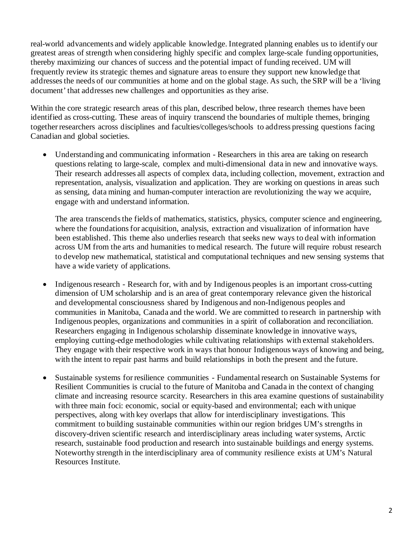real-world advancements and widely applicable knowledge. Integrated planning enables us to identify our greatest areas of strength when considering highly specific and complex large-scale funding opportunities, thereby maximizing our chances of success and the potential impact of funding received. UM will frequently review its strategic themes and signature areas to ensure they support new knowledge that addresses the needs of our communities at home and on the global stage. As such, the SRP will be a 'living document' that addresses new challenges and opportunities as they arise.

Within the core strategic research areas of this plan, described below, three research themes have been identified as cross-cutting. These areas of inquiry transcend the boundaries of multiple themes, bringing together researchers across disciplines and faculties/colleges/schools to address pressing questions facing Canadian and global societies.

• Understanding and communicating information - Researchers in this area are taking on research questions relating to large-scale, complex and multi-dimensional data in new and innovative ways. Their research addresses all aspects of complex data, including collection, movement, extraction and representation, analysis, visualization and application. They are working on questions in areas such as sensing, data mining and human-computer interaction are revolutionizing the way we acquire, engage with and understand information.

The area transcends the fields of mathematics, statistics, physics, computer science and engineering, where the foundations for acquisition, analysis, extraction and visualization of information have been established. This theme also underlies research that seeks new ways to deal with information across UM from the arts and humanities to medical research. The future will require robust research to develop new mathematical, statistical and computational techniques and new sensing systems that have a wide variety of applications.

- Indigenous research Research for, with and by Indigenous peoples is an important cross-cutting dimension of UM scholarship and is an area of great contemporary relevance given the historical and developmental consciousness shared by Indigenous and non-Indigenous peoples and communities in Manitoba, Canada and the world. We are committed to research in partnership with Indigenous peoples, organizations and communities in a spirit of collaboration and reconciliation. Researchers engaging in Indigenous scholarship disseminate knowledge in innovative ways, employing cutting-edge methodologies while cultivating relationships with external stakeholders. They engage with their respective work in ways that honour Indigenous ways of knowing and being, with the intent to repair past harms and build relationships in both the present and the future.
- Sustainable systems for resilience communities Fundamental research on Sustainable Systems for Resilient Communities is crucial to the future of Manitoba and Canada in the context of changing climate and increasing resource scarcity. Researchers in this area examine questions of sustainability with three main foci: economic, social or equity-based and environmental; each with unique perspectives, along with key overlaps that allow for interdisciplinary investigations. This commitment to building sustainable communities within our region bridges UM's strengths in discovery-driven scientific research and interdisciplinary areas including water systems, Arctic research, sustainable food production and research into sustainable buildings and energy systems. Noteworthy strength in the interdisciplinary area of community resilience exists at UM's Natural Resources Institute.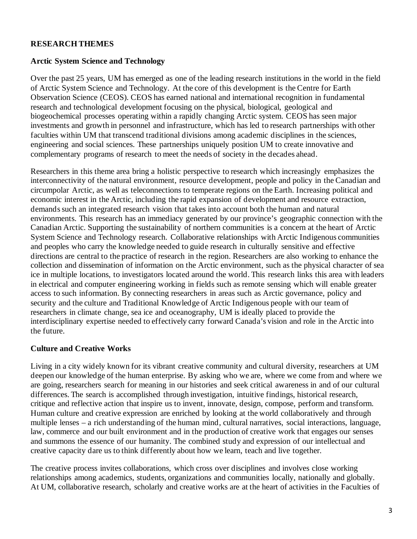#### **RESEARCH THEMES**

#### **Arctic System Science and Technology**

Over the past 25 years, UM has emerged as one of the leading research institutions in the world in the field of Arctic System Science and Technology. At the core of this development is the Centre for Earth Observation Science (CEOS). CEOS has earned national and international recognition in fundamental research and technological development focusing on the physical, biological, geological and biogeochemical processes operating within a rapidly changing Arctic system. CEOS has seen major investments and growth in personnel and infrastructure, which has led to research partnerships with other faculties within UM that transcend traditional divisions among academic disciplines in the sciences, engineering and social sciences. These partnerships uniquely position UM to create innovative and complementary programs of research to meet the needs of society in the decades ahead.

Researchers in this theme area bring a holistic perspective to research which increasingly emphasizes the interconnectivity of the natural environment, resource development, people and policy in the Canadian and circumpolar Arctic, as well as teleconnections to temperate regions on the Earth. Increasing political and economic interest in the Arctic, including the rapid expansion of development and resource extraction, demands such an integrated research vision that takes into account both the human and natural environments. This research has an immediacy generated by our province's geographic connection with the Canadian Arctic. Supporting the sustainability of northern communities is a concern at the heart of Arctic System Science and Technology research. Collaborative relationships with Arctic Indigenous communities and peoples who carry the knowledge needed to guide research in culturally sensitive and effective directions are central to the practice of research in the region. Researchers are also working to enhance the collection and dissemination of information on the Arctic environment, such as the physical character of sea ice in multiple locations, to investigators located around the world. This research links this area with leaders in electrical and computer engineering working in fields such as remote sensing which will enable greater access to such information. By connecting researchers in areas such as Arctic governance, policy and security and the culture and Traditional Knowledge of Arctic Indigenous people with our team of researchers in climate change, sea ice and oceanography, UM is ideally placed to provide the interdisciplinary expertise needed to effectively carry forward Canada's vision and role in the Arctic into the future.

#### **Culture and Creative Works**

Living in a city widely known for its vibrant creative community and cultural diversity, researchers at UM deepen our knowledge of the human enterprise. By asking who we are, where we come from and where we are going, researchers search for meaning in our histories and seek critical awareness in and of our cultural differences. The search is accomplished through investigation, intuitive findings, historical research, critique and reflective action that inspire us to invent, innovate, design, compose, perform and transform. Human culture and creative expression are enriched by looking at the world collaboratively and through multiple lenses – a rich understanding of the human mind, cultural narratives, social interactions, language, law, commerce and our built environment and in the production of creative work that engages our senses and summons the essence of our humanity. The combined study and expression of our intellectual and creative capacity dare us to think differently about how we learn, teach and live together.

The creative process invites collaborations, which cross over disciplines and involves close working relationships among academics, students, organizations and communities locally, nationally and globally. At UM, collaborative research, scholarly and creative works are at the heart of activities in the Faculties of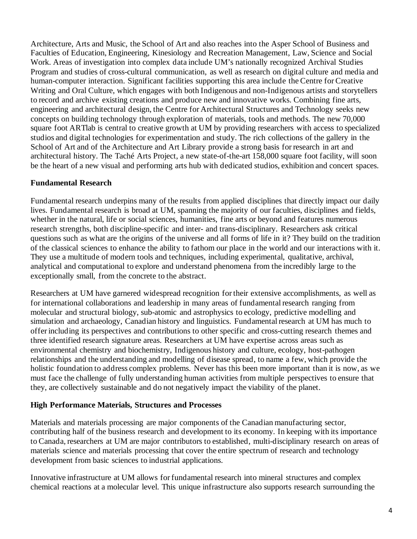Architecture, Arts and Music, the School of Art and also reaches into the Asper School of Business and Faculties of Education, Engineering, Kinesiology and Recreation Management, Law, Science and Social Work. Areas of investigation into complex data include UM's nationally recognized Archival Studies Program and studies of cross-cultural communication, as well as research on digital culture and media and human-computer interaction. Significant facilities supporting this area include the Centre for Creative Writing and Oral Culture, which engages with both Indigenous and non-Indigenous artists and storytellers to record and archive existing creations and produce new and innovative works. Combining fine arts, engineering and architectural design, the Centre for Architectural Structures and Technology seeks new concepts on building technology through exploration of materials, tools and methods. The new 70,000 square foot ARTlab is central to creative growth at UM by providing researchers with access to specialized studios and digital technologies for experimentation and study. The rich collections of the gallery in the School of Art and of the Architecture and Art Library provide a strong basis for research in art and architectural history. The Taché Arts Project, a new state-of-the-art 158,000 square foot facility, will soon be the heart of a new visual and performing arts hub with dedicated studios, exhibition and concert spaces.

## **Fundamental Research**

Fundamental research underpins many of the results from applied disciplines that directly impact our daily lives. Fundamental research is broad at UM, spanning the majority of our faculties, disciplines and fields, whether in the natural, life or social sciences, humanities, fine arts or beyond and features numerous research strengths, both discipline-specific and inter- and trans-disciplinary. Researchers ask critical questions such as what are the origins of the universe and all forms of life in it? They build on the tradition of the classical sciences to enhance the ability to fathom our place in the world and our interactions with it. They use a multitude of modern tools and techniques, including experimental, qualitative, archival, analytical and computational to explore and understand phenomena from the incredibly large to the exceptionally small, from the concrete to the abstract.

Researchers at UM have garnered widespread recognition for their extensive accomplishments, as well as for international collaborations and leadership in many areas of fundamental research ranging from molecular and structural biology, sub-atomic and astrophysics to ecology, predictive modelling and simulation and archaeology, Canadian history and linguistics. Fundamental research at UM has much to offer including its perspectives and contributions to other specific and cross-cutting research themes and three identified research signature areas. Researchers at UM have expertise across areas such as environmental chemistry and biochemistry, Indigenous history and culture, ecology, host-pathogen relationships and the understanding and modelling of disease spread, to name a few, which provide the holistic foundation to address complex problems. Never has this been more important than it is now, as we must face the challenge of fully understanding human activities from multiple perspectives to ensure that they, are collectively sustainable and do not negatively impact the viability of the planet.

#### **High Performance Materials, Structures and Processes**

Materials and materials processing are major components of the Canadian manufacturing sector, contributing half of the business research and development to its economy. In keeping with its importance to Canada, researchers at UM are major contributors to established, multi-disciplinary research on areas of materials science and materials processing that cover the entire spectrum of research and technology development from basic sciences to industrial applications.

Innovative infrastructure at UM allows for fundamental research into mineral structures and complex chemical reactions at a molecular level. This unique infrastructure also supports research surrounding the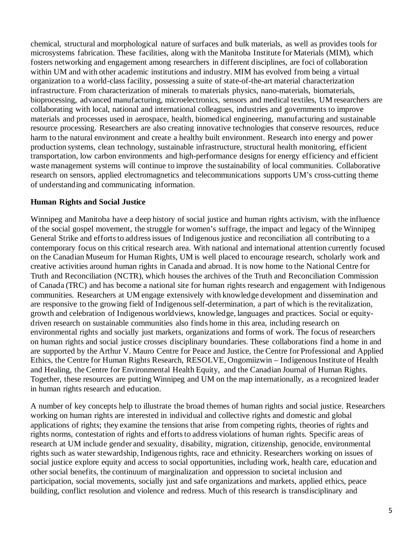chemical, structural and morphological nature of surfaces and bulk materials, as well as provides tools for microsystems fabrication. These facilities, along with the Manitoba Institute for Materials (MIM), which fosters networking and engagement among researchers in different disciplines, are foci of collaboration within UM and with other academic institutions and industry. MIM has evolved from being a virtual organization to a world-class facility, possessing a suite of state-of-the-art material characterization infrastructure. From characterization of minerals to materials physics, nano-materials, biomaterials, bioprocessing, advanced manufacturing, microelectronics, sensors and medical textiles, UM researchers are collaborating with local, national and international colleagues, industries and governments to improve materials and processes used in aerospace, health, biomedical engineering, manufacturing and sustainable resource processing. Researchers are also creating innovative technologies that conserve resources, reduce harm to the natural environment and create a healthy built environment. Research into energy and power production systems, clean technology, sustainable infrastructure, structural health monitoring, efficient transportation, low carbon environments and high-performance designs for energy efficiency and efficient waste management systems will continue to improve the sustainability of local communities. Collaborative research on sensors, applied electromagnetics and telecommunications supports UM's cross-cutting theme of understanding and communicating information.

## **Human Rights and Social Justice**

Winnipeg and Manitoba have a deep history of social justice and human rights activism, with the influence of the social gospel movement, the struggle for women's suffrage, the impact and legacy of the Winnipeg General Strike and efforts to address issues of Indigenous justice and reconciliation all contributing to a contemporary focus on this critical research area. With national and international attention currently focused on the Canadian Museum for Human Rights, UM is well placed to encourage research, scholarly work and creative activities around human rights in Canada and abroad. It is now home to the National Centre for Truth and Reconciliation (NCTR), which houses the archives of the Truth and Reconciliation Commission of Canada (TRC) and has become a national site for human rights research and engagement with Indigenous communities. Researchers at UM engage extensively with knowledge development and dissemination and are responsive to the growing field of Indigenous self-determination, a part of which is the revitalization, growth and celebration of Indigenous worldviews, knowledge, languages and practices. Social or equitydriven research on sustainable communities also finds home in this area, including research on environmental rights and socially just markets, organizations and forms of work. The focus of researchers on human rights and social justice crosses disciplinary boundaries. These collaborations find a home in and are supported by the [Arthur V. Mauro Centre for Peace and Justice,](http://umanitoba.ca/mauro_centre/) the [Centre for](http://umanitoba.ca/ethics_centre/) [Professional and Applied](http://umanitoba.ca/ethics_centre/)  [Ethics,](http://umanitoba.ca/ethics_centre/) the [Centre for Human Rights Research,](http://chrr.info/) [RESOLVE,](http://umanitoba.ca/centres/resolve/whoweare.html) Ongomiizwin – Indigenous Institute of Health and Healing, the [Centre for Environmental Health Equity,](http://www.cehe.ca/) and the [Canadian Journal of Human Rights.](http://cjhr.ca/) Together, these resources are putting Winnipeg and UM on the map internationally, as a recognized leader in human rights research and education.

A number of key concepts help to illustrate the broad themes of human rights and social justice. Researchers working on human rights are interested in individual and collective rights and domestic and global applications of rights; they examine the tensions that arise from competing rights, theories of rights and rights norms, contestation of rights and efforts to address violations of human rights. Specific areas of research at UM include gender and sexuality, disability, migration, citizenship, genocide, environmental rights such as water stewardship, Indigenous rights, race and ethnicity. Researchers working on issues of social justice explore equity and access to social opportunities, including work, health care, education and other social benefits, the continuum of marginalization and oppression to societal inclusion and participation, social movements, socially just and safe organizations and markets, applied ethics, peace building, conflict resolution and violence and redress. Much of this research is transdisciplinary and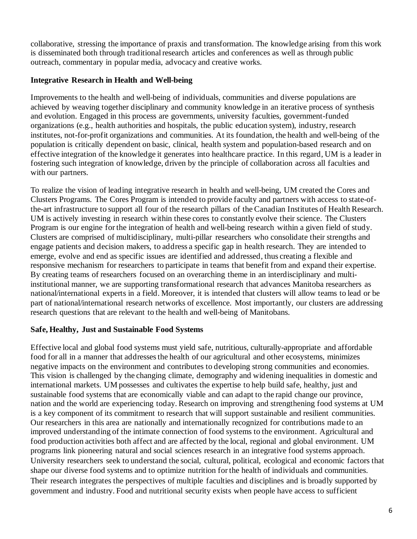collaborative, stressing the importance of praxis and transformation. The knowledge arising from this work is disseminated both through traditional research articles and conferences as well as through public outreach, commentary in popular media, advocacy and creative works.

## **Integrative Research in Health and Well-being**

Improvements to the health and well-being of individuals, communities and diverse populations are achieved by weaving together disciplinary and community knowledge in an iterative process of synthesis and evolution. Engaged in this process are governments, university faculties, government-funded organizations (e.g., health authorities and hospitals, the public education system), industry, research institutes, not-for-profit organizations and communities. At its foundation, the health and well-being of the population is critically dependent on basic, clinical, health system and population-based research and on effective integration of the knowledge it generates into healthcare practice. In this regard, UM is a leader in fostering such integration of knowledge, driven by the principle of collaboration across all faculties and with our partners.

To realize the vision of leading integrative research in health and well-being, UM created the Cores and Clusters Programs. The Cores Program is intended to provide faculty and partners with access to state-ofthe-art infrastructure to support all four of the research pillars of the Canadian Institutes of Health Research. UM is actively investing in research within these cores to constantly evolve their science. The Clusters Program is our engine for the integration of health and well-being research within a given field of study. Clusters are comprised of multidisciplinary, multi-pillar researchers who consolidate their strengths and engage patients and decision makers, to address a specific gap in health research. They are intended to emerge, evolve and end as specific issues are identified and addressed, thus creating a flexible and responsive mechanism for researchers to participate in teams that benefit from and expand their expertise. By creating teams of researchers focused on an overarching theme in an interdisciplinary and multiinstitutional manner, we are supporting transformational research that advances Manitoba researchers as national/international experts in a field. Moreover, it is intended that clusters will allow teams to lead or be part of national/international research networks of excellence. Most importantly, our clusters are addressing research questions that are relevant to the health and well-being of Manitobans.

# **Safe, Healthy, Just and Sustainable Food Systems**

Effective local and global food systems must yield safe, nutritious, culturally-appropriate and affordable food for all in a manner that addresses the health of our agricultural and other ecosystems, minimizes negative impacts on the environment and contributes to developing strong communities and economies. This vision is challenged by the changing climate, demography and widening inequalities in domestic and international markets. UM possesses and cultivates the expertise to help build safe, healthy, just and sustainable food systems that are economically viable and can adapt to the rapid change our province, nation and the world are experiencing today. Research on improving and strengthening food systems at UM is a key component of its commitment to research that will support sustainable and resilient communities. Our researchers in this area are nationally and internationally recognized for contributions made to an improved understanding of the intimate connection of food systems to the environment. Agricultural and food production activities both affect and are affected by the local, regional and global environment. UM programs link pioneering natural and social sciences research in an integrative food systems approach. University researchers seek to understand the social, cultural, political, ecological and economic factors that shape our diverse food systems and to optimize nutrition for the health of individuals and communities. Their research integrates the perspectives of multiple faculties and disciplines and is broadly supported by government and industry. Food and nutritional security exists when people have access to sufficient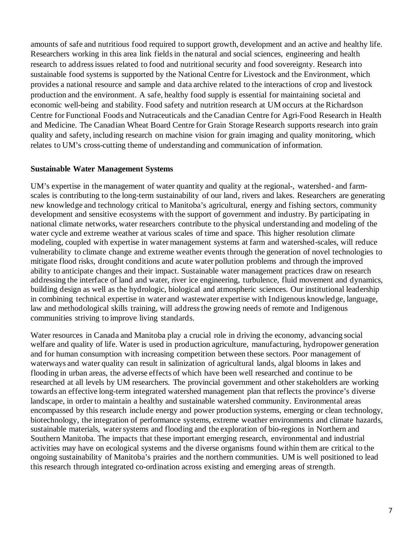amounts of safe and nutritious food required to support growth, development and an active and healthy life. Researchers working in this area link fields in the natural and social sciences, engineering and health research to address issues related to food and nutritional security and food sovereignty. Research into sustainable food systems is supported by the National Centre for Livestock and the Environment, which provides a national resource and sample and data archive related to the interactions of crop and livestock production and the environment. A safe, healthy food supply is essential for maintaining societal and economic well-being and stability. Food safety and nutrition research at UM occurs at the Richardson Centre for Functional Foods and Nutraceuticals and the Canadian Centre for Agri-Food Research in Health and Medicine. The Canadian Wheat Board Centre for Grain Storage Research supports research into grain quality and safety, including research on machine vision for grain imaging and quality monitoring, which relates to UM's cross-cutting theme of understanding and communication of information.

#### **Sustainable Water Management Systems**

UM's expertise in the management of water quantity and quality at the regional-, watershed- and farmscales is contributing to the long-term sustainability of our land, rivers and lakes. Researchers are generating new knowledge and technology critical to Manitoba's agricultural, energy and fishing sectors, community development and sensitive ecosystems with the support of government and industry. By participating in national climate networks, water researchers contribute to the physical understanding and modeling of the water cycle and extreme weather at various scales of time and space. This higher resolution climate modeling, coupled with expertise in water management systems at farm and watershed-scales, will reduce vulnerability to climate change and extreme weather events through the generation of novel technologies to mitigate flood risks, drought conditions and acute water pollution problems and through the improved ability to anticipate changes and their impact. Sustainable water management practices draw on research addressing the interface of land and water, river ice engineering, turbulence, fluid movement and dynamics, building design as well as the hydrologic, biological and atmospheric sciences. Our institutional leadership in combining technical expertise in water and wastewater expertise with Indigenous knowledge, language, law and methodological skills training, will address the growing needs of remote and Indigenous communities striving to improve living standards.

Water resources in Canada and Manitoba play a crucial role in driving the economy, advancing social welfare and quality of life. Water is used in production agriculture, manufacturing, hydropower generation and for human consumption with increasing competition between these sectors. Poor management of waterways and water quality can result in salinization of agricultural lands, algal blooms in lakes and flooding in urban areas, the adverse effects of which have been well researched and continue to be researched at all levels by UM researchers. The provincial government and other stakeholders are working towards an effective long-term integrated watershed management plan that reflects the province's diverse landscape, in order to maintain a healthy and sustainable watershed community. Environmental areas encompassed by this research include energy and power production systems, emerging or clean technology, biotechnology, the integration of performance systems, extreme weather environments and climate hazards, sustainable materials, water systems and flooding and the exploration of bio-regions in Northern and Southern Manitoba. The impacts that these important emerging research, environmental and industrial activities may have on ecological systems and the diverse organisms found within them are critical to the ongoing sustainability of Manitoba's prairies and the northern communities. UM is well positioned to lead this research through integrated co-ordination across existing and emerging areas of strength.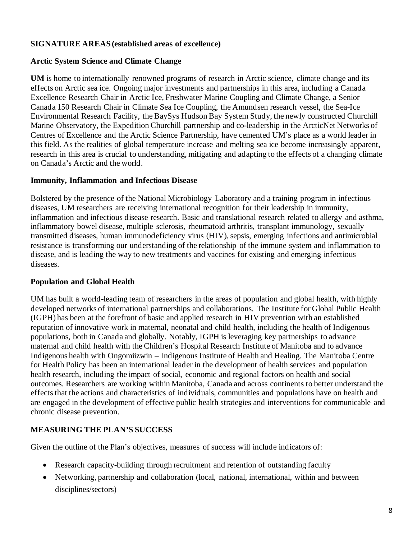## **SIGNATURE AREAS (established areas of excellence)**

## **Arctic System Science and Climate Change**

**UM** is home to internationally renowned programs of research in Arctic science, climate change and its effects on Arctic sea ice. Ongoing major investments and partnerships in this area, including a Canada Excellence Research Chair in Arctic Ice, Freshwater Marine Coupling and Climate Change, a Senior Canada 150 Research Chair in Climate Sea Ice Coupling, the Amundsen research vessel, the Sea-Ice Environmental Research Facility, the BaySys Hudson Bay System Study, the newly constructed Churchill Marine Observatory, the Expedition Churchill partnership and co-leadership in the ArcticNet Networks of Centres of Excellence and the Arctic Science Partnership, have cemented UM's place as a world leader in this field. As the realities of global temperature increase and melting sea ice become increasingly apparent, research in this area is crucial to understanding, mitigating and adapting to the effects of a changing climate on Canada's Arctic and the world.

## **Immunity, Inflammation and Infectious Disease**

Bolstered by the presence of the National Microbiology Laboratory and a training program in infectious diseases, UM researchers are receiving international recognition for their leadership in immunity, inflammation and infectious disease research. Basic and translational research related to allergy and asthma, inflammatory bowel disease, multiple sclerosis, rheumatoid arthritis, transplant immunology, sexually transmitted diseases, human immunodeficiency virus (HIV), sepsis, emerging infections and antimicrobial resistance is transforming our understanding of the relationship of the immune system and inflammation to disease, and is leading the way to new treatments and vaccines for existing and emerging infectious diseases.

## **Population and Global Health**

UM has built a world-leading team of researchers in the areas of population and global health, with highly developed networks of international partnerships and collaborations. The Institute for Global Public Health (IGPH) has been at the forefront of basic and applied research in HIV prevention with an established reputation of innovative work in maternal, neonatal and child health, including the health of Indigenous populations, both in Canada and globally. Notably, IGPH is leveraging key partnerships to advance maternal and child health with the Children's Hospital Research Institute of Manitoba and to advance Indigenous health with Ongomiizwin – Indigenous Institute of Health and Healing. The Manitoba Centre for Health Policy has been an international leader in the development of health services and population health research, including the impact of social, economic and regional factors on health and social outcomes. Researchers are working within Manitoba, Canada and across continents to better understand the effects that the actions and characteristics of individuals, communities and populations have on health and are engaged in the development of effective public health strategies and interventions for communicable and chronic disease prevention.

# **MEASURING THE PLAN'S SUCCESS**

Given the outline of the Plan's objectives, measures of success will include indicators of:

- Research capacity-building through recruitment and retention of outstanding faculty
- Networking, partnership and collaboration (local, national, international, within and between disciplines/sectors)